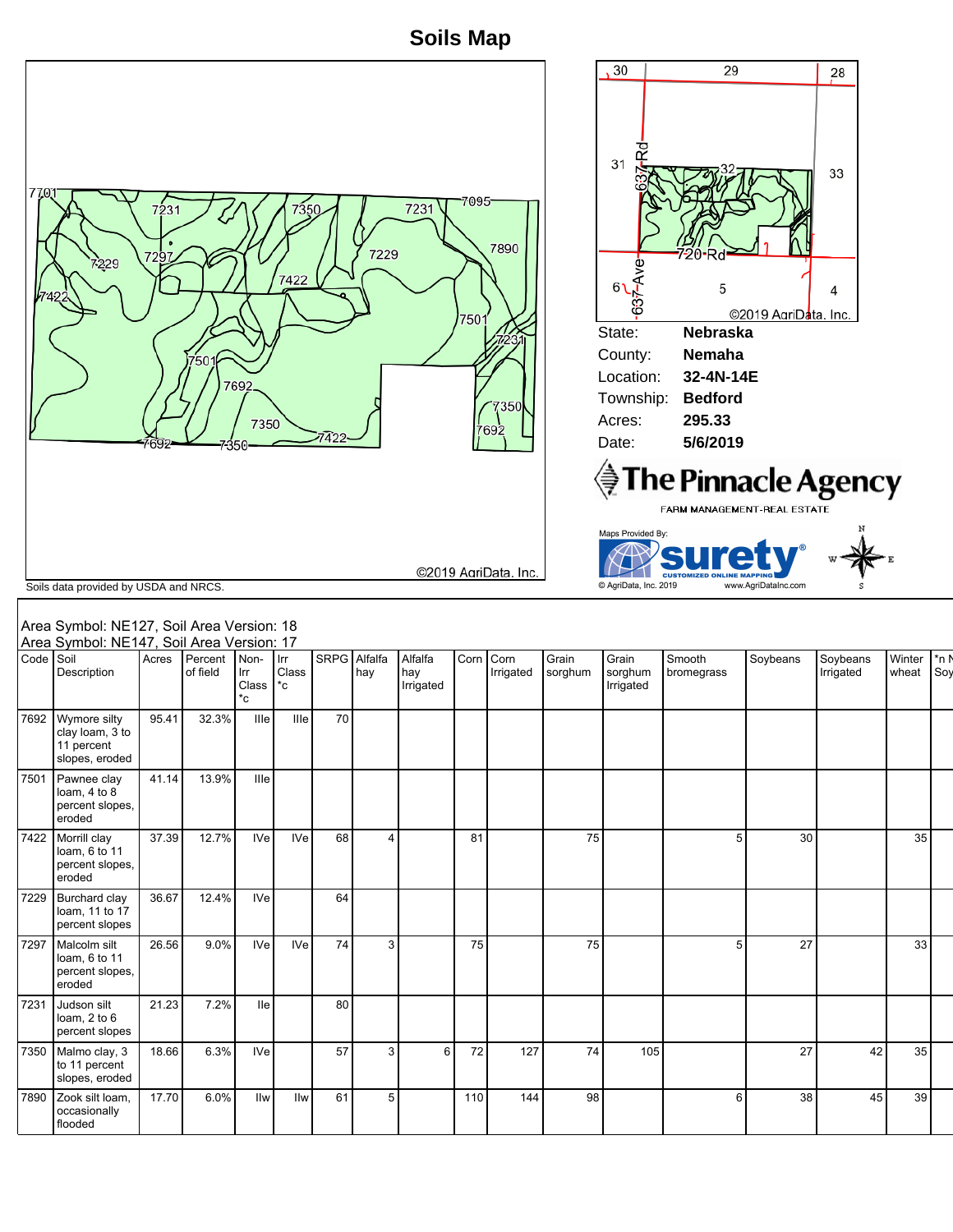**Soils Map**



## Area Symbol: NE127, Soil Area Version Area Symbol: NE147, Soil Area Version: 17 Area Symbol: NE127, Soil Area Version: 18

|           | Area Symbol: NE147, Soil Area Version: 17                       |       |                     |                            |                       |              |                |                             |      |                   |                  |                               |                      |          |                       |                 |                |
|-----------|-----------------------------------------------------------------|-------|---------------------|----------------------------|-----------------------|--------------|----------------|-----------------------------|------|-------------------|------------------|-------------------------------|----------------------|----------|-----------------------|-----------------|----------------|
| Code Soil | Description                                                     | Acres | Percent<br>of field | Non-<br>Irr<br>Class<br>*c | Irr<br>Class<br>$^*c$ | SRPG Alfalfa | hay            | Alfalfa<br>hay<br>Irrigated | Corn | Corn<br>Irrigated | Grain<br>sorghum | Grain<br>sorghum<br>Irrigated | Smooth<br>bromegrass | Soybeans | Soybeans<br>Irrigated | Winter<br>wheat | $*_{n}$<br>Soy |
| 7692      | Wymore silty<br>clay loam, 3 to<br>11 percent<br>slopes, eroded | 95.41 | 32.3%               | Ille                       | Ille                  | 70           |                |                             |      |                   |                  |                               |                      |          |                       |                 |                |
| 7501      | Pawnee clay<br>loam, 4 to 8<br>percent slopes,<br>eroded        | 41.14 | 13.9%               | Ille                       |                       |              |                |                             |      |                   |                  |                               |                      |          |                       |                 |                |
| 7422      | Morrill clay<br>loam, 6 to 11<br>percent slopes,<br>eroded      | 37.39 | 12.7%               | <b>IVe</b>                 | <b>IVe</b>            | 68           | $\overline{4}$ |                             | 81   |                   | 75               |                               | 5                    | 30       |                       | 35              |                |
| 7229      | Burchard clay<br>loam, 11 to 17<br>percent slopes               | 36.67 | 12.4%               | <b>IVe</b>                 |                       | 64           |                |                             |      |                   |                  |                               |                      |          |                       |                 |                |
| 7297      | Malcolm silt<br>loam, 6 to 11<br>percent slopes,<br>eroded      | 26.56 | 9.0%                | <b>IVe</b>                 | <b>IVe</b>            | 74           | 3              |                             | 75   |                   | 75               |                               | 5                    | 27       |                       | 33              |                |
| 7231      | Judson silt<br>loam, $2$ to $6$<br>percent slopes               | 21.23 | 7.2%                | <b>Ile</b>                 |                       | 80           |                |                             |      |                   |                  |                               |                      |          |                       |                 |                |
| 7350      | Malmo clay, 3<br>to 11 percent<br>slopes, eroded                | 18.66 | 6.3%                | <b>IVe</b>                 |                       | 57           | 3              | 6                           | 72   | 127               | 74               | 105                           |                      | 27       | 42                    | 35              |                |
| 7890      | Zook silt loam,<br>occasionally<br>flooded                      | 17.70 | 6.0%                | llw                        | llw                   | 61           | 5              |                             | 110  | 144               | 98               |                               | 6                    | 38       | 45                    | 39              |                |
|           |                                                                 |       |                     |                            |                       |              |                |                             |      |                   |                  |                               |                      |          |                       |                 |                |